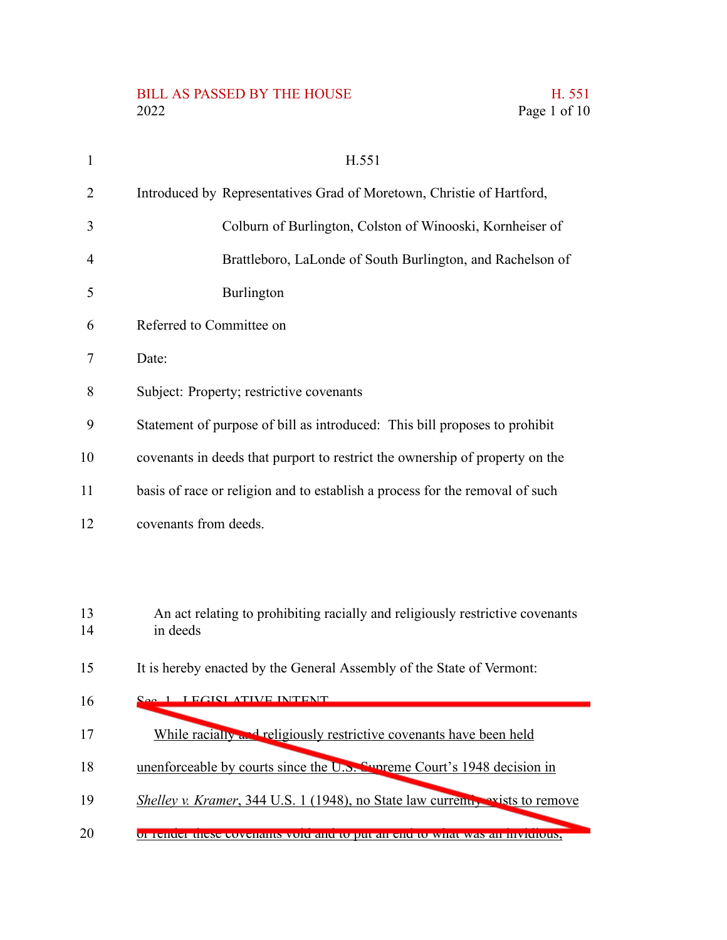## BILL AS PASSED BY THE HOUSE H. 551<br>2022 Page 1 of 10

| $\mathbf{1}$   | H.551                                                                                     |  |  |  |  |  |
|----------------|-------------------------------------------------------------------------------------------|--|--|--|--|--|
| $\overline{2}$ | Introduced by Representatives Grad of Moretown, Christie of Hartford,                     |  |  |  |  |  |
| 3              | Colburn of Burlington, Colston of Winooski, Kornheiser of                                 |  |  |  |  |  |
| $\overline{4}$ | Brattleboro, LaLonde of South Burlington, and Rachelson of                                |  |  |  |  |  |
| 5              | Burlington                                                                                |  |  |  |  |  |
| 6              | Referred to Committee on                                                                  |  |  |  |  |  |
| 7              | Date:                                                                                     |  |  |  |  |  |
| 8              | Subject: Property; restrictive covenants                                                  |  |  |  |  |  |
| 9              | Statement of purpose of bill as introduced: This bill proposes to prohibit                |  |  |  |  |  |
| 10             | covenants in deeds that purport to restrict the ownership of property on the              |  |  |  |  |  |
| 11             | basis of race or religion and to establish a process for the removal of such              |  |  |  |  |  |
| 12             | covenants from deeds.                                                                     |  |  |  |  |  |
|                |                                                                                           |  |  |  |  |  |
| 13<br>14       | An act relating to prohibiting racially and religiously restrictive covenants<br>in deeds |  |  |  |  |  |
| 15             | It is hereby enacted by the General Assembly of the State of Vermont:                     |  |  |  |  |  |
| 16             | 1 I ECICLATIVE INTENT                                                                     |  |  |  |  |  |
| 17             | While racially and religiously restrictive covenants have been held                       |  |  |  |  |  |
| 18             | unenforceable by courts since the U.S. Symptome Court's 1948 decision in                  |  |  |  |  |  |
| 19             | <i>Shelley v. Kramer</i> , 344 U.S. 1 (1948), no State law currently exists to remove     |  |  |  |  |  |
| 20             | of fender these covenants void and to put an end to what was an invidious,                |  |  |  |  |  |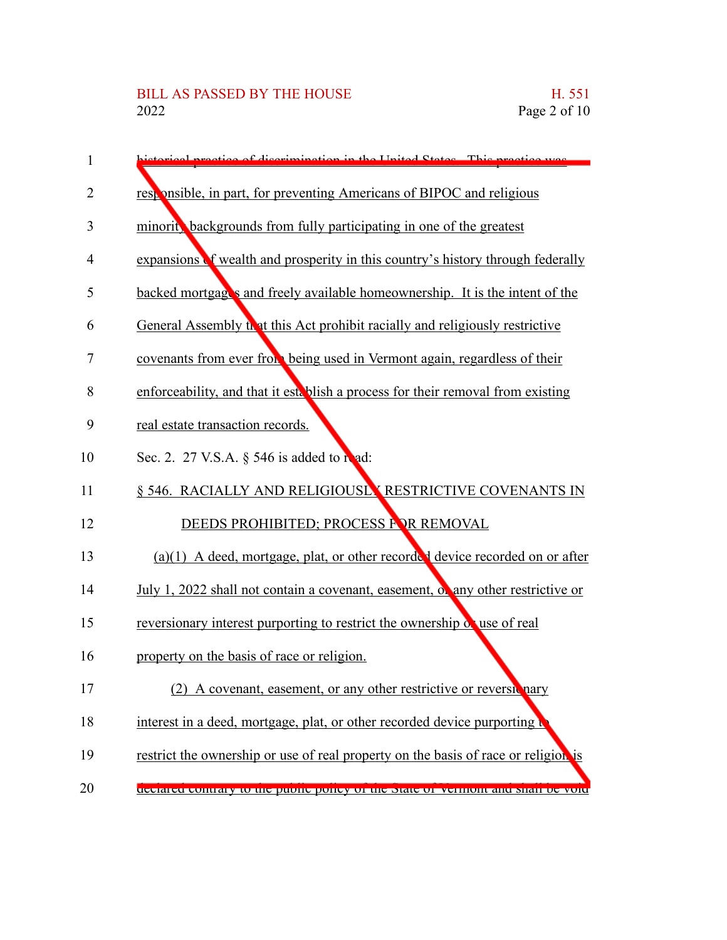| 1              | istorical practice of discrimination in the United States. This practice was       |
|----------------|------------------------------------------------------------------------------------|
| $\overline{2}$ | responsible, in part, for preventing Americans of BIPOC and religious              |
| 3              | minorit, backgrounds from fully participating in one of the greatest               |
| $\overline{4}$ | expansions of wealth and prosperity in this country's history through federally    |
| 5              | backed mortgages and freely available homeownership. It is the intent of the       |
| 6              | General Assembly that this Act prohibit racially and religiously restrictive       |
| $\overline{7}$ | covenants from ever from being used in Vermont again, regardless of their          |
| 8              | enforceability, and that it establish a process for their removal from existing    |
| 9              | real estate transaction records.                                                   |
| 10             | Sec. 2. 27 V.S.A. § 546 is added to read:                                          |
| 11             | § 546. RACIALLY AND RELIGIOUSLY RESTRICTIVE COVENANTS IN                           |
| 12             | DEEDS PROHIBITED; PROCESS FOR REMOVAL                                              |
| 13             | $(a)(1)$ A deed, mortgage, plat, or other recorded device recorded on or after     |
| 14             | July 1, 2022 shall not contain a covenant, easement, or any other restrictive or   |
| 15             | reversionary interest purporting to restrict the ownership of use of real          |
| 16             | property on the basis of race or religion.                                         |
| 17             | A covenant, easement, or any other restrictive or reversitinary                    |
| 18             | interest in a deed, mortgage, plat, or other recorded device purporting            |
| 19             | restrict the ownership or use of real property on the basis of race or religion is |
| 20             | decialed contrary to the public policy of the state of vermont and shall be volu   |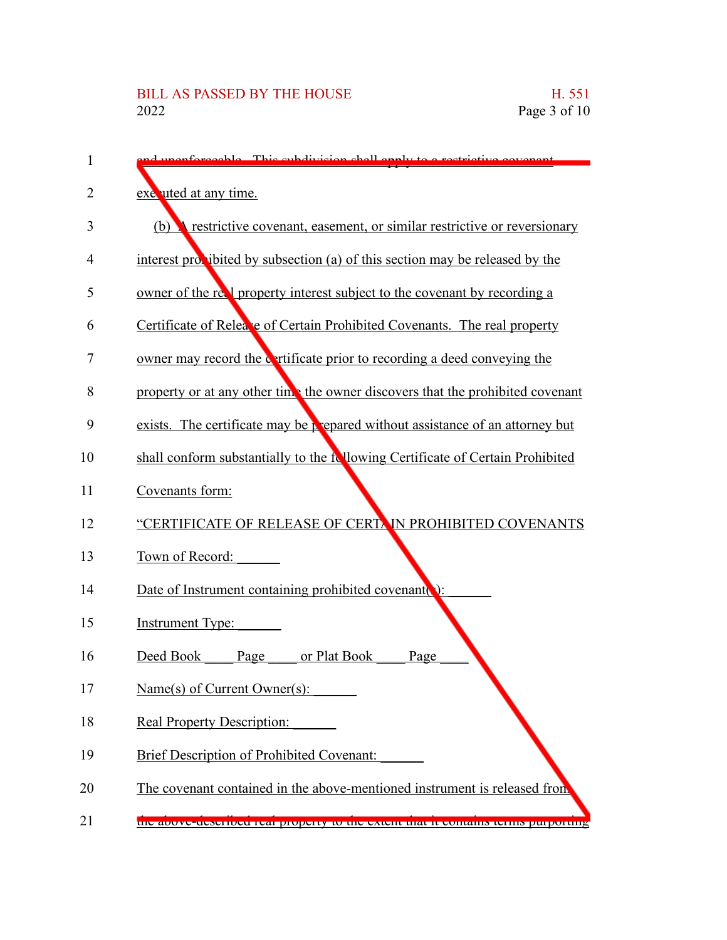| 1  | performed le This subdivision shall apply to a restrictive                        |
|----|-----------------------------------------------------------------------------------|
| 2  | exe uted at any time.                                                             |
| 3  | restrictive covenant, easement, or similar restrictive or reversionary<br>(b)     |
| 4  | interest provibited by subsection (a) of this section may be released by the      |
| 5  | owner of the real property interest subject to the covenant by recording a        |
| 6  | Certificate of Relea'e of Certain Prohibited Covenants. The real property         |
| 7  | owner may record the cartificate prior to recording a deed conveying the          |
| 8  | property or at any other time the owner discovers that the prohibited covenant    |
| 9  | exists. The certificate may be prepared without assistance of an attorney but     |
| 10 | shall conform substantially to the following Certificate of Certain Prohibited    |
| 11 | Covenants form:                                                                   |
| 12 | "CERTIFICATE OF RELEASE OF CERTAIN PROHIBITED COVENANTS                           |
| 13 | Town of Record:                                                                   |
| 14 | Date of Instrument containing prohibited covenant                                 |
| 15 | <b>Instrument Type:</b>                                                           |
| 16 | Deed Book<br>Page<br>or Plat Book<br>Page                                         |
| 17 | Name(s) of Current Owner(s):                                                      |
| 18 | <b>Real Property Description:</b>                                                 |
| 19 | <b>Brief Description of Prohibited Covenant:</b>                                  |
| 20 | The covenant contained in the above-mentioned instrument is released from         |
| 21 | the above-described real property to the extent that it contains terms purporting |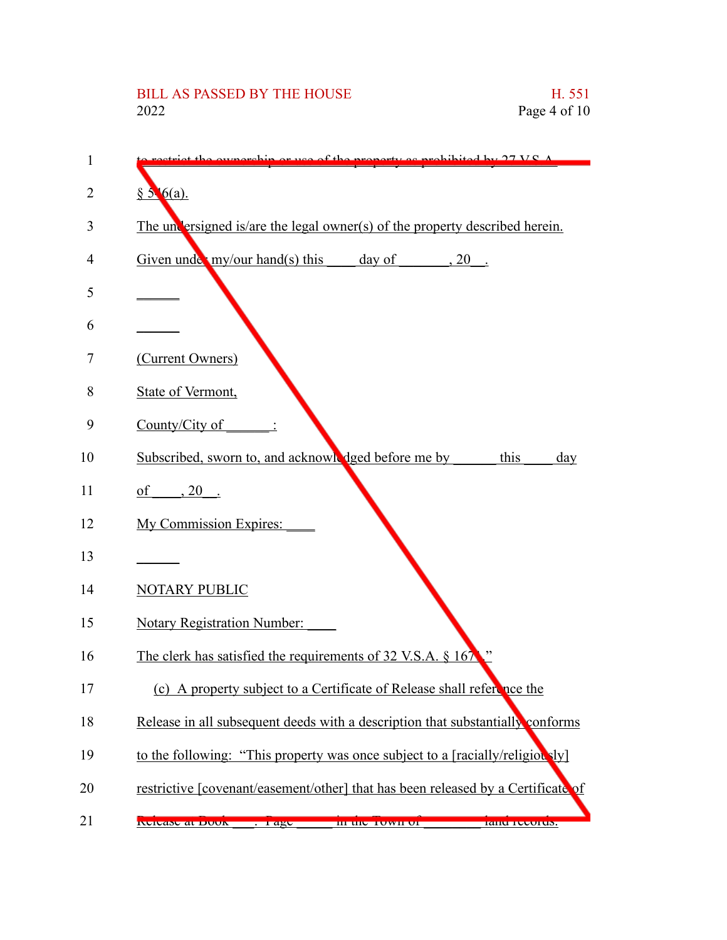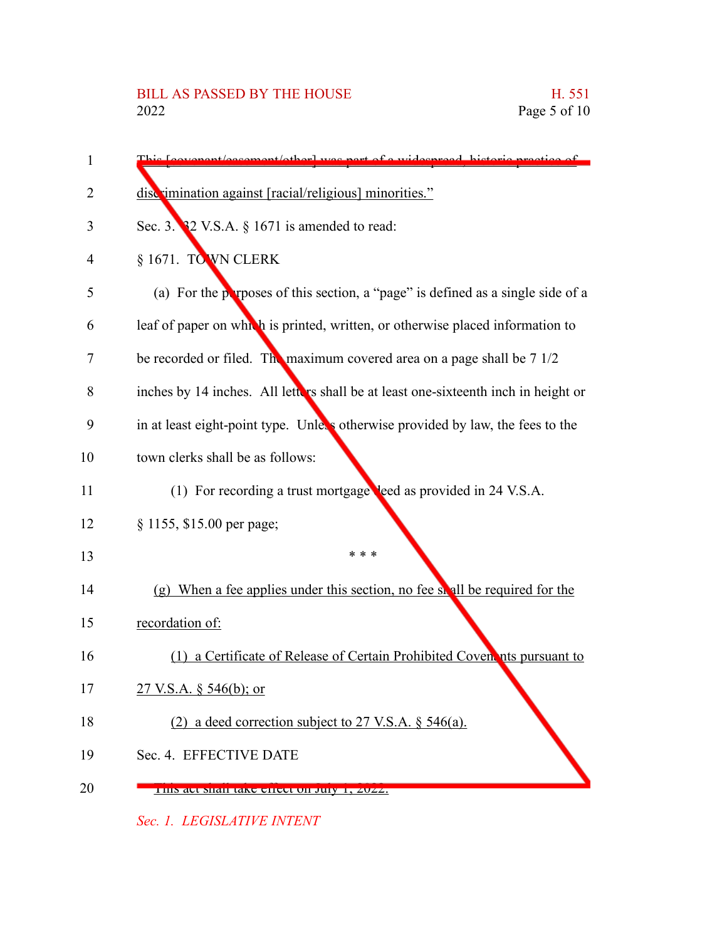| 1  | This Leovenant/occurrent/other) wes part of a widespread, historic prestige of     |
|----|------------------------------------------------------------------------------------|
| 2  | discrimination against [racial/religious] minorities."                             |
| 3  | Sec. 3. $32$ V.S.A. $\S$ 1671 is amended to read:                                  |
| 4  | § 1671. TO WN CLERK                                                                |
| 5  | (a) For the perposes of this section, a "page" is defined as a single side of a    |
| 6  | leaf of paper on which is printed, written, or otherwise placed information to     |
| 7  | be recorded or filed. The maximum covered area on a page shall be 7 1/2            |
| 8  | inches by 14 inches. All letters shall be at least one-sixteenth inch in height or |
| 9  | in at least eight-point type. Unless otherwise provided by law, the fees to the    |
| 10 | town clerks shall be as follows:                                                   |
| 11 | (1) For recording a trust mortgage leed as provided in 24 V.S.A.                   |
| 12 | § 1155, \$15.00 per page;                                                          |
| 13 | * * *                                                                              |
| 14 | (g) When a fee applies under this section, no fee shall be required for the        |
| 15 | recordation of:                                                                    |
| 16 | (1) a Certificate of Release of Certain Prohibited Coven nts pursuant to           |
| 17 | 27 V.S.A. § 546(b); or                                                             |
| 18 | (2) a deed correction subject to 27 V.S.A. $\S$ 546(a).                            |
| 19 | Sec. 4. EFFECTIVE DATE                                                             |
| 20 | THIS act shall take effect on July 1, 2022.                                        |

*Sec. 1. LEGISLATIVE INTENT*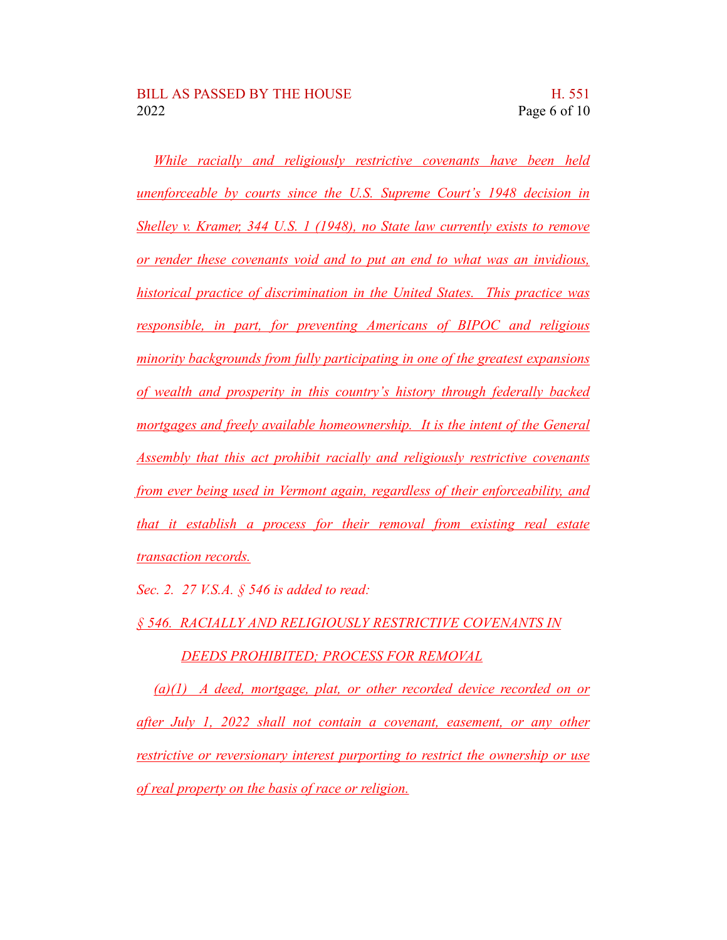*While racially and religiously restrictive covenants have been held unenforceable by courts since the U.S. Supreme Court's 1948 decision in Shelley v. Kramer, 344 U.S. 1 (1948), no State law currently exists to remove or render these covenants void and to put an end to what was an invidious, historical practice of discrimination in the United States. This practice was responsible, in part, for preventing Americans of BIPOC and religious minority backgrounds from fully participating in one of the greatest expansions of wealth and prosperity in this country's history through federally backed mortgages and freely available homeownership. It is the intent of the General Assembly that this act prohibit racially and religiously restrictive covenants from ever being used in Vermont again, regardless of their enforceability, and that it establish a process for their removal from existing real estate transaction records.*

*Sec. 2. 27 V.S.A. § 546 is added to read:*

*§ 546. RACIALLY AND RELIGIOUSLY RESTRICTIVE COVENANTS IN*

*DEEDS PROHIBITED; PROCESS FOR REMOVAL*

*(a)(1) A deed, mortgage, plat, or other recorded device recorded on or after July 1, 2022 shall not contain a covenant, easement, or any other restrictive or reversionary interest purporting to restrict the ownership or use of real property on the basis of race or religion.*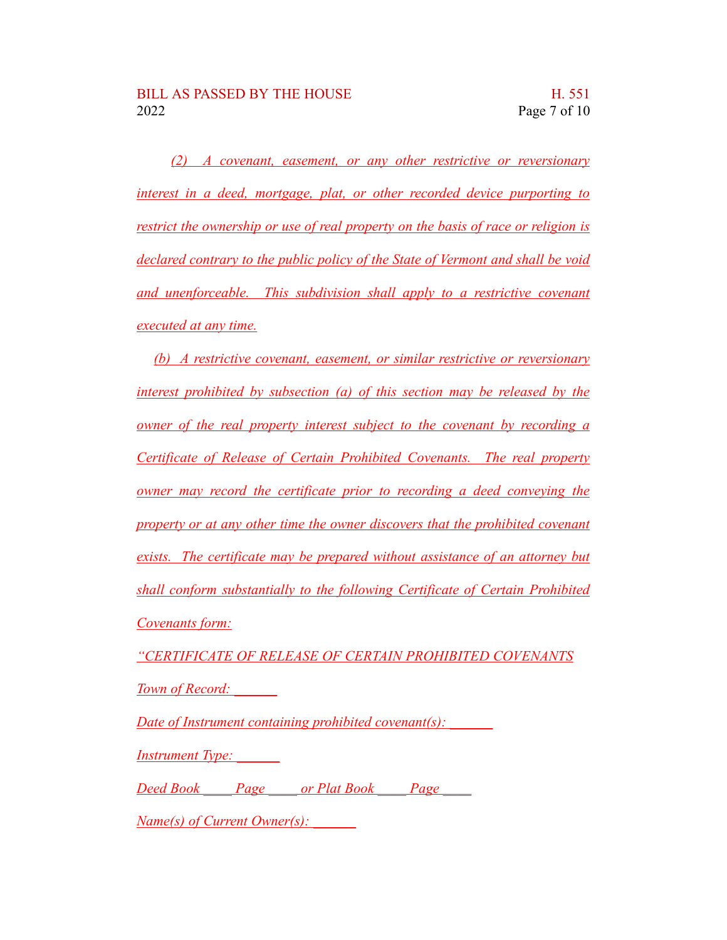*(2) A covenant, easement, or any other restrictive or reversionary interest in a deed, mortgage, plat, or other recorded device purporting to restrict the ownership or use of real property on the basis of race or religion is declared contrary to the public policy of the State of Vermont and shall be void and unenforceable. This subdivision shall apply to a restrictive covenant executed at any time.*

*(b) A restrictive covenant, easement, or similar restrictive or reversionary interest prohibited by subsection (a) of this section may be released by the owner of the real property interest subject to the covenant by recording a Certificate of Release of Certain Prohibited Covenants. The real property owner may record the certificate prior to recording a deed conveying the property or at any other time the owner discovers that the prohibited covenant exists. The certificate may be prepared without assistance of an attorney but shall conform substantially to the following Certificate of Certain Prohibited Covenants form:*

*"CERTIFICATE OF RELEASE OF CERTAIN PROHIBITED COVENANTS Town of Record:* 

*Date of Instrument containing prohibited covenant(s)*:

*Instrument Type: \_\_\_\_\_\_*

*Deed Book \_\_\_\_ Page \_\_\_\_ or Plat Book \_\_\_\_ Page \_\_\_\_*

*Name(s) of Current Owner(s): \_\_\_\_\_\_*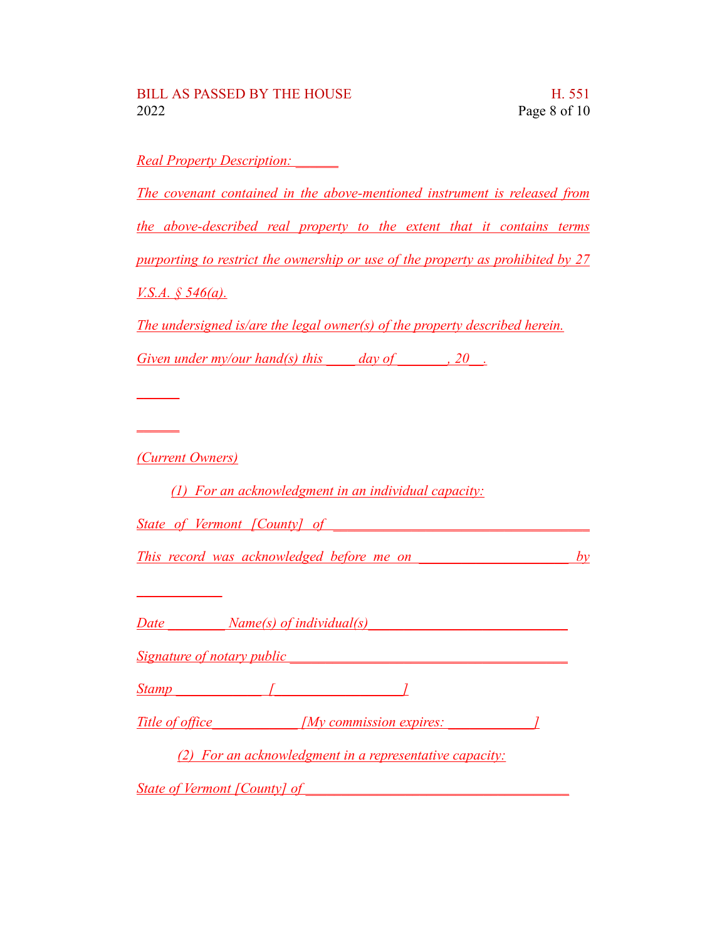*Real Property Description: \_\_\_\_\_\_ The covenant contained in the above-mentioned instrument is released from the above-described real property to the extent that it contains terms purporting to restrict the ownership or use of the property as prohibited by 27 V.S.A. § 546(a). The undersigned is/are the legal owner(s) of the property described herein. Given under my/our hand(s) this day of* , 20. *\_\_\_\_\_\_ \_\_\_\_\_\_ (Current Owners)*

*(1) For an acknowledgment in an individual capacity:*

*State of Vermont [County] of* 

*This record was acknowledged before me on \_\_\_\_\_\_\_\_\_\_\_\_\_\_\_\_\_\_\_\_\_ by*

*Date \_\_\_\_\_\_\_\_ Name(s) of individual(s)\_\_\_\_\_\_\_\_\_\_\_\_\_\_\_\_\_\_\_\_\_\_\_\_\_\_\_\_*

*Signature of notary public laterally defined as a set of <i>notary public laterally defined as a set of <i>n* 

*\_\_\_\_\_\_\_\_\_\_\_\_*

*Stamp \_\_\_\_\_\_\_\_\_\_\_\_ [\_\_\_\_\_\_\_\_\_\_\_\_\_\_\_\_\_\_]*

Title of office  $\begin{array}{ccc} \text{I} & \text{I} & \text{I} \\ \text{I} & \text{I} & \text{I} \end{array}$ 

*(2) For an acknowledgment in a representative capacity:*

*State of Vermont [County] of \_\_\_\_\_\_\_\_\_\_\_\_\_\_\_\_\_\_\_\_\_\_\_\_\_\_\_\_\_\_\_\_\_\_\_\_\_*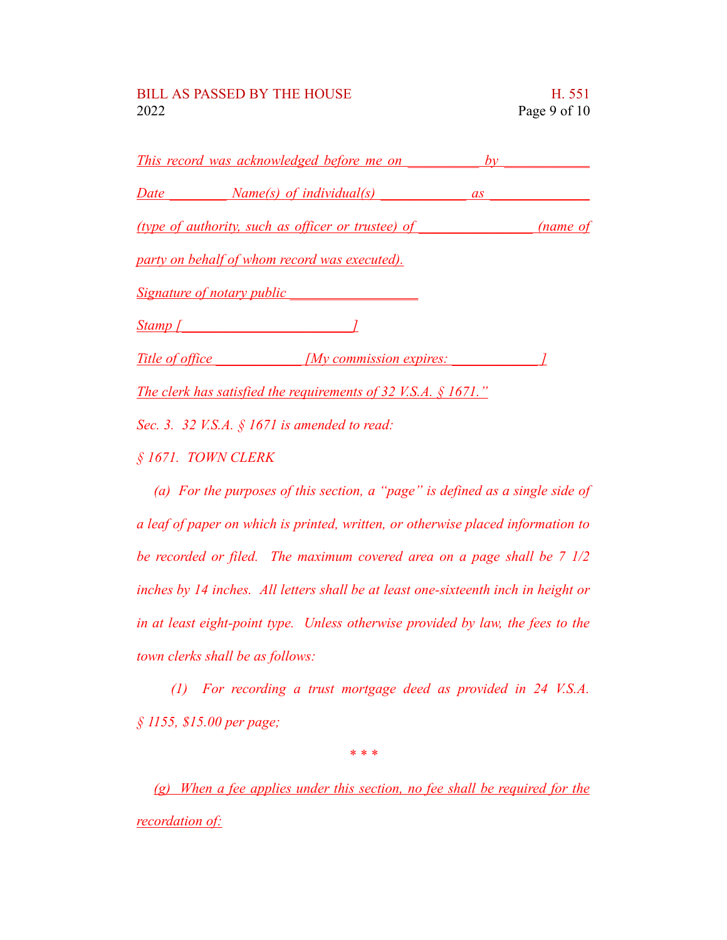|           | <u>This record was acknowledged before me on</u>                   | by |          |
|-----------|--------------------------------------------------------------------|----|----------|
|           | Date <i>Name(s)</i> of <i>individual(s)</i>                        | as |          |
|           | (type of authority, such as officer or trustee) of                 |    | (name of |
|           | party on behalf of whom record was executed).                      |    |          |
|           | <u>Signature of notary public Signature of notary public</u>       |    |          |
| $Stamp$ [ |                                                                    |    |          |
|           | Title of office My commission expires:                             |    |          |
|           | The clerk has satisfied the requirements of 32 V.S.A. $\S 1671$ ." |    |          |
|           | Sec. 3. 32 V.S.A. $\S$ 1671 is amended to read:                    |    |          |

*§ 1671. TOWN CLERK*

*(a) For the purposes of this section, a "page" is defined as a single side of a leaf of paper on which is printed, written, or otherwise placed information to be recorded or filed. The maximum covered area on a page shall be 7 1/2 inches by 14 inches. All letters shall be at least one-sixteenth inch in height or in at least eight-point type. Unless otherwise provided by law, the fees to the town clerks shall be as follows:*

*(1) For recording a trust mortgage deed as provided in 24 V.S.A. § 1155, \$15.00 per page;*

*\* \* \**

*(g) When a fee applies under this section, no fee shall be required for the recordation of:*